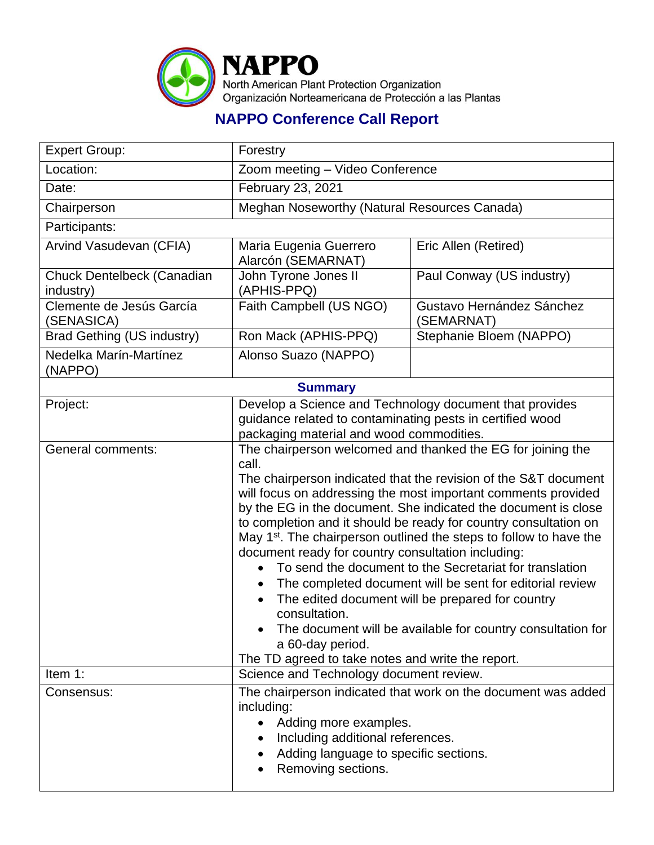

## **NAPPO Conference Call Report**

| <b>Expert Group:</b>                    | Forestry                                                                                                                                                                                                                                                                                                                                                                                                                                                                                                                                                                                                                                                                                                                                                                                                                   |                                         |  |  |
|-----------------------------------------|----------------------------------------------------------------------------------------------------------------------------------------------------------------------------------------------------------------------------------------------------------------------------------------------------------------------------------------------------------------------------------------------------------------------------------------------------------------------------------------------------------------------------------------------------------------------------------------------------------------------------------------------------------------------------------------------------------------------------------------------------------------------------------------------------------------------------|-----------------------------------------|--|--|
| Location:                               | Zoom meeting - Video Conference                                                                                                                                                                                                                                                                                                                                                                                                                                                                                                                                                                                                                                                                                                                                                                                            |                                         |  |  |
| Date:                                   | February 23, 2021                                                                                                                                                                                                                                                                                                                                                                                                                                                                                                                                                                                                                                                                                                                                                                                                          |                                         |  |  |
| Chairperson                             | Meghan Noseworthy (Natural Resources Canada)                                                                                                                                                                                                                                                                                                                                                                                                                                                                                                                                                                                                                                                                                                                                                                               |                                         |  |  |
| Participants:                           |                                                                                                                                                                                                                                                                                                                                                                                                                                                                                                                                                                                                                                                                                                                                                                                                                            |                                         |  |  |
| Arvind Vasudevan (CFIA)                 | Maria Eugenia Guerrero<br>Alarcón (SEMARNAT)                                                                                                                                                                                                                                                                                                                                                                                                                                                                                                                                                                                                                                                                                                                                                                               | Eric Allen (Retired)                    |  |  |
| Chuck Dentelbeck (Canadian<br>industry) | John Tyrone Jones II<br>(APHIS-PPQ)                                                                                                                                                                                                                                                                                                                                                                                                                                                                                                                                                                                                                                                                                                                                                                                        | Paul Conway (US industry)               |  |  |
| Clemente de Jesús García<br>(SENASICA)  | Faith Campbell (US NGO)                                                                                                                                                                                                                                                                                                                                                                                                                                                                                                                                                                                                                                                                                                                                                                                                    | Gustavo Hernández Sánchez<br>(SEMARNAT) |  |  |
| <b>Brad Gething (US industry)</b>       | Ron Mack (APHIS-PPQ)                                                                                                                                                                                                                                                                                                                                                                                                                                                                                                                                                                                                                                                                                                                                                                                                       | Stephanie Bloem (NAPPO)                 |  |  |
| Nedelka Marín-Martínez<br>(NAPPO)       | Alonso Suazo (NAPPO)                                                                                                                                                                                                                                                                                                                                                                                                                                                                                                                                                                                                                                                                                                                                                                                                       |                                         |  |  |
| <b>Summary</b>                          |                                                                                                                                                                                                                                                                                                                                                                                                                                                                                                                                                                                                                                                                                                                                                                                                                            |                                         |  |  |
| Project:                                | Develop a Science and Technology document that provides<br>guidance related to contaminating pests in certified wood<br>packaging material and wood commodities.                                                                                                                                                                                                                                                                                                                                                                                                                                                                                                                                                                                                                                                           |                                         |  |  |
| <b>General comments:</b>                | The chairperson welcomed and thanked the EG for joining the<br>call.<br>The chairperson indicated that the revision of the S&T document<br>will focus on addressing the most important comments provided<br>by the EG in the document. She indicated the document is close<br>to completion and it should be ready for country consultation on<br>May 1 <sup>st</sup> . The chairperson outlined the steps to follow to have the<br>document ready for country consultation including:<br>To send the document to the Secretariat for translation<br>The completed document will be sent for editorial review<br>The edited document will be prepared for country<br>consultation.<br>The document will be available for country consultation for<br>a 60-day period.<br>The TD agreed to take notes and write the report. |                                         |  |  |
| Item 1:                                 | Science and Technology document review.                                                                                                                                                                                                                                                                                                                                                                                                                                                                                                                                                                                                                                                                                                                                                                                    |                                         |  |  |
| Consensus:                              | The chairperson indicated that work on the document was added<br>including:<br>Adding more examples.<br>$\bullet$<br>Including additional references.<br>Adding language to specific sections.<br>Removing sections.                                                                                                                                                                                                                                                                                                                                                                                                                                                                                                                                                                                                       |                                         |  |  |